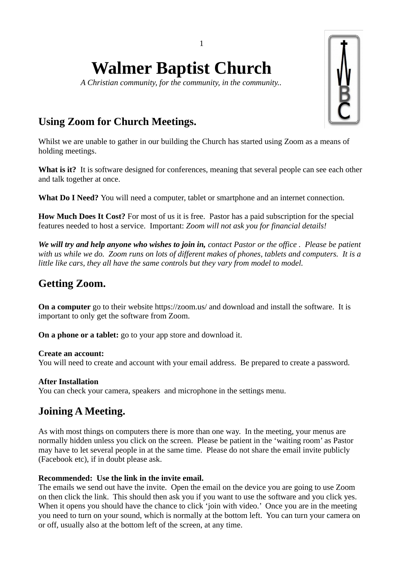# **Walmer Baptist Church**

*A Christian community, for the community, in the community..*



# **Using Zoom for Church Meetings.**

Whilst we are unable to gather in our building the Church has started using Zoom as a means of holding meetings.

What is it? It is software designed for conferences, meaning that several people can see each other and talk together at once.

**What Do I Need?** You will need a computer, tablet or smartphone and an internet connection.

**How Much Does It Cost?** For most of us it is free. Pastor has a paid subscription for the special features needed to host a service. Important: *Zoom will not ask you for financial details!*

*We will try and help anyone who wishes to join in, contact Pastor or the office . Please be patient with us while we do. Zoom runs on lots of different makes of phones, tablets and computers. It is a little like cars, they all have the same controls but they vary from model to model.* 

## **Getting Zoom.**

**On a computer** go to their website https://zoom.us/ and download and install the software. It is important to only get the software from Zoom.

**On a phone or a tablet:** go to your app store and download it.

#### **Create an account:**

You will need to create and account with your email address. Be prepared to create a password.

#### **After Installation**

You can check your camera, speakers and microphone in the settings menu.

# **Joining A Meeting.**

As with most things on computers there is more than one way. In the meeting, your menus are normally hidden unless you click on the screen. Please be patient in the 'waiting room' as Pastor may have to let several people in at the same time. Please do not share the email invite publicly (Facebook etc), if in doubt please ask.

#### **Recommended: Use the link in the invite email.**

The emails we send out have the invite. Open the email on the device you are going to use Zoom on then click the link. This should then ask you if you want to use the software and you click yes. When it opens you should have the chance to click 'join with video.' Once you are in the meeting you need to turn on your sound, which is normally at the bottom left. You can turn your camera on or off, usually also at the bottom left of the screen, at any time.